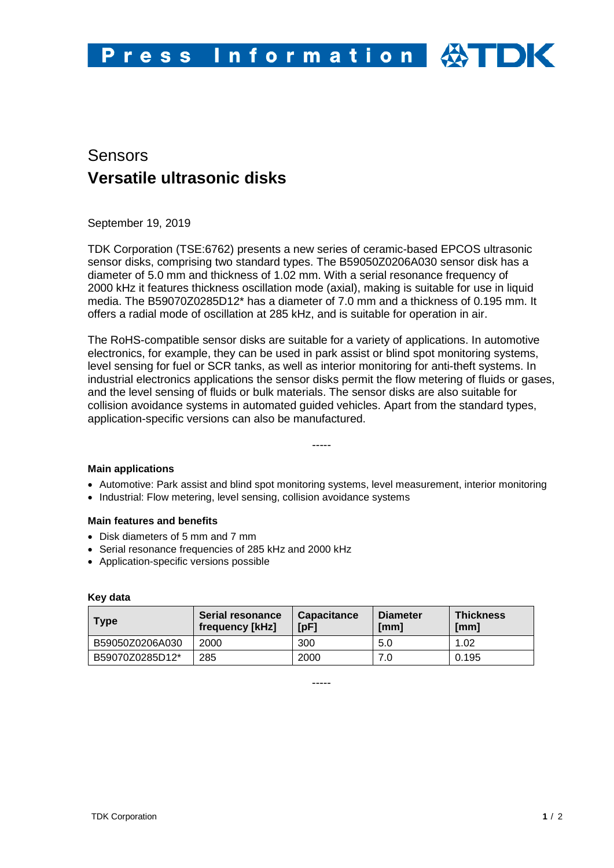

# Sensors **Versatile ultrasonic disks**

September 19, 2019

TDK Corporation (TSE:6762) presents a new series of ceramic-based EPCOS ultrasonic sensor disks, comprising two standard types. The B59050Z0206A030 sensor disk has a diameter of 5.0 mm and thickness of 1.02 mm. With a serial resonance frequency of 2000 kHz it features thickness oscillation mode (axial), making is suitable for use in liquid media. The B59070Z0285D12\* has a diameter of 7.0 mm and a thickness of 0.195 mm. It offers a radial mode of oscillation at 285 kHz, and is suitable for operation in air.

The RoHS-compatible sensor disks are suitable for a variety of applications. In automotive electronics, for example, they can be used in park assist or blind spot monitoring systems, level sensing for fuel or SCR tanks, as well as interior monitoring for anti-theft systems. In industrial electronics applications the sensor disks permit the flow metering of fluids or gases, and the level sensing of fluids or bulk materials. The sensor disks are also suitable for collision avoidance systems in automated guided vehicles. Apart from the standard types, application-specific versions can also be manufactured.

## **Main applications**

• Automotive: Park assist and blind spot monitoring systems, level measurement, interior monitoring

-----

• Industrial: Flow metering, level sensing, collision avoidance systems

#### **Main features and benefits**

- Disk diameters of 5 mm and 7 mm
- Serial resonance frequencies of 285 kHz and 2000 kHz
- Application-specific versions possible

#### **Key data**

| <b>Type</b>     | <b>⁄ Serial resonance</b><br>frequency [kHz] | <b>Capacitance</b><br>[pF] | <b>Diameter</b><br>[mm] | <b>Thickness</b><br>[mm] |
|-----------------|----------------------------------------------|----------------------------|-------------------------|--------------------------|
| B59050Z0206A030 | 2000                                         | 300                        | 5.0                     | 1.02                     |
| B59070Z0285D12* | 285                                          | 2000                       |                         | 0.195                    |

-----